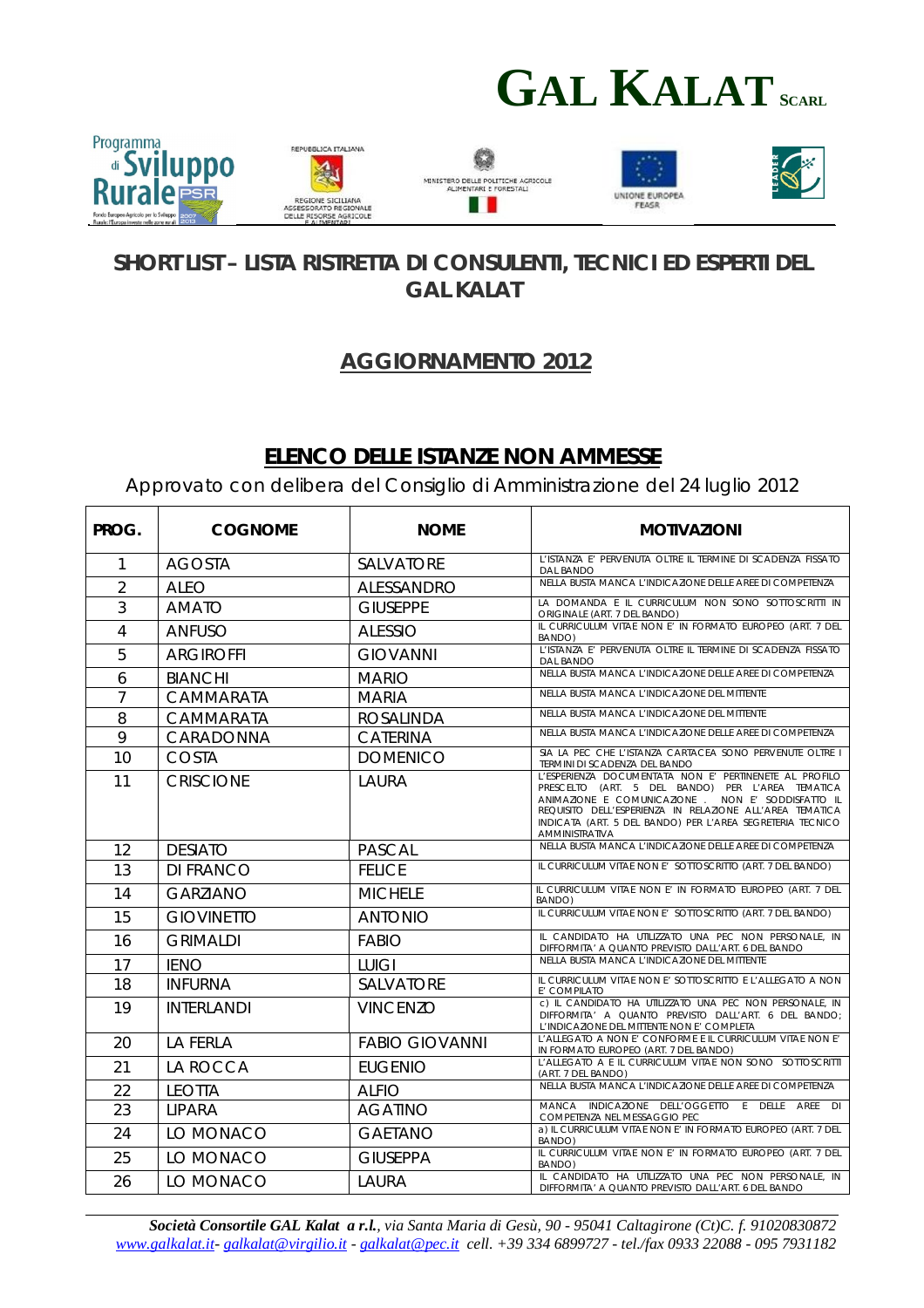



## **SHORT LIST – LISTA RISTRETTA DI CONSULENTI, TECNICI ED ESPERTI DEL GAL KALAT**

## **AGGIORNAMENTO 2012**

## **ELENCO DELLE ISTANZE NON AMMESSE**

Approvato con delibera del Consiglio di Amministrazione del 24 luglio 2012

| PROG.          | <b>COGNOME</b>    | <b>NOME</b>           | <b>MOTIVAZIONI</b>                                                                                                                                                                                                                                                                                          |
|----------------|-------------------|-----------------------|-------------------------------------------------------------------------------------------------------------------------------------------------------------------------------------------------------------------------------------------------------------------------------------------------------------|
| 1              | <b>AGOSTA</b>     | <b>SALVATORE</b>      | L'ISTANZA E' PERVENUTA OLTRE IL TERMINE DI SCADENZA FISSATO<br><b>DAL BANDO</b>                                                                                                                                                                                                                             |
| $\overline{2}$ | <b>ALEO</b>       | <b>ALESSANDRO</b>     | NELLA BUSTA MANCA L'INDICAZIONE DELLE AREE DI COMPETENZA                                                                                                                                                                                                                                                    |
| 3              | <b>AMATO</b>      | <b>GIUSEPPE</b>       | LA DOMANDA E IL CURRICULUM NON SONO SOTTOSCRITTI IN<br>ORIGINALE (ART. 7 DEL BANDO)                                                                                                                                                                                                                         |
| 4              | ANFUSO            | <b>ALESSIO</b>        | IL CURRICULUM VITAE NON E' IN FORMATO EUROPEO (ART. 7 DEL<br>BANDO)                                                                                                                                                                                                                                         |
| 5              | <b>ARGIROFFI</b>  | <b>GIOVANNI</b>       | L'ISTANZA E' PERVENUTA OLTRE IL TERMINE DI SCADENZA FISSATO<br><b>DAL BANDO</b>                                                                                                                                                                                                                             |
| 6              | <b>BIANCHI</b>    | <b>MARIO</b>          | NELLA BUSTA MANCA L'INDICAZIONE DELLE AREE DI COMPETENZA                                                                                                                                                                                                                                                    |
| $\overline{7}$ | CAMMARATA         | <b>MARIA</b>          | NELLA BUSTA MANCA L'INDICAZIONE DEL MITTENTE                                                                                                                                                                                                                                                                |
| 8              | CAMMARATA         | <b>ROSALINDA</b>      | NELLA BUSTA MANCA L'INDICAZIONE DEL MITTENTE                                                                                                                                                                                                                                                                |
| 9              | CARADONNA         | <b>CATERINA</b>       | NELLA BUSTA MANCA L'INDICAZIONE DELLE AREE DI COMPETENZA                                                                                                                                                                                                                                                    |
| 10             | <b>COSTA</b>      | <b>DOMENICO</b>       | SIA LA PEC CHE L'ISTANZA CARTACEA SONO PERVENUTE OLTRE<br>TERMINI DI SCADENZA DEL BANDO                                                                                                                                                                                                                     |
| 11             | <b>CRISCIONE</b>  | LAURA                 | L'ESPERIENZA DOCUMENTATA NON E' PERTINENETE AL PROFILO<br>PRESCELTO (ART. 5 DEL BANDO) PER L'AREA TEMATICA<br>ANIMAZIONE E COMUNICAZIONE . NON E' SODDISFATTO IL<br>REQUISITO DELL'ESPERIENZA IN RELAZIONE ALL'AREA TEMATICA<br>INDICATA (ART. 5 DEL BANDO) PER L'AREA SEGRETERIA TECNICO<br>AMMINISTRATIVA |
| 12             | <b>DESIATO</b>    | <b>PASCAL</b>         | NELLA BUSTA MANCA L'INDICAZIONE DELLE AREE DI COMPETENZA                                                                                                                                                                                                                                                    |
| 13             | <b>DI FRANCO</b>  | <b>FELICE</b>         | IL CURRICULUM VITAE NON E' SOTTOSCRITTO (ART. 7 DEL BANDO)                                                                                                                                                                                                                                                  |
| 14             | <b>GARZIANO</b>   | <b>MICHELE</b>        | IL CURRICULUM VITAE NON E' IN FORMATO EUROPEO (ART. 7 DEL<br>BANDO)                                                                                                                                                                                                                                         |
| 15             | <b>GIOVINETTO</b> | <b>ANTONIO</b>        | IL CURRICULUM VITAE NON E' SOTTOSCRITTO (ART. 7 DEL BANDO)                                                                                                                                                                                                                                                  |
| 16             | <b>GRIMALDI</b>   | <b>FABIO</b>          | IL CANDIDATO HA UTILIZZATO UNA PEC NON PERSONALE, IN<br>DIFFORMITA' A QUANTO PREVISTO DALL'ART. 6 DEL BANDO                                                                                                                                                                                                 |
| 17             | <b>IENO</b>       | <b>LUIGI</b>          | NELLA BUSTA MANCA L'INDICAZIONE DEL MITTENTE                                                                                                                                                                                                                                                                |
| 18             | <b>INFURNA</b>    | <b>SALVATORE</b>      | IL CURRICULUM VITAE NON E' SOTTOSCRITTO E L'ALLEGATO A NON<br>E' COMPILATO                                                                                                                                                                                                                                  |
| 19             | <b>INTERLANDI</b> | <b>VINCENZO</b>       | c) IL CANDIDATO HA UTILIZZATO UNA PEC NON PERSONALE, IN<br>DIFFORMITA' A QUANTO PREVISTO DALL'ART. 6 DEL BANDO;<br>L'INDICAZIONE DEL MITTENTE NON E' COMPLETA                                                                                                                                               |
| 20             | <b>LA FERLA</b>   | <b>FABIO GIOVANNI</b> | L'ALLEGATO A NON E' CONFORME E IL CURRICULUM VITAE NON E'<br>IN FORMATO EUROPEO (ART. 7 DEL BANDO)                                                                                                                                                                                                          |
| 21             | LA ROCCA          | <b>EUGENIO</b>        | L'ALLEGATO A E IL CURRICULUM VITAE NON SONO SOTTOSCRITTI<br>(ART. 7 DEL BANDO)                                                                                                                                                                                                                              |
| 22             | LEOTTA            | <b>ALFIO</b>          | NELLA BUSTA MANCA L'INDICAZIONE DELLE AREE DI COMPETENZA                                                                                                                                                                                                                                                    |
| 23             | <b>LIPARA</b>     | <b>AGATINO</b>        | MANCA INDICAZIONE DELL'OGGETTO E DELLE AREE DI<br>COMPETENZA NEL MESSAGGIO PEC                                                                                                                                                                                                                              |
| 24             | LO MONACO         | <b>GAETANO</b>        | a) IL CURRICULUM VITAE NON E' IN FORMATO EUROPEO (ART. 7 DEL<br>BANDO)                                                                                                                                                                                                                                      |
| 25             | LO MONACO         | <b>GIUSEPPA</b>       | IL CURRICULUM VITAE NON E' IN FORMATO EUROPEO (ART. 7 DEL<br>BANDO)                                                                                                                                                                                                                                         |
| 26             | LO MONACO         | LAURA                 | IL CANDIDATO HA UTILIZZATO UNA PEC NON PERSONALE, IN<br>DIFFORMITA' A QUANTO PREVISTO DALL'ART. 6 DEL BANDO                                                                                                                                                                                                 |

*Società Consortile GAL Kalat a r.l., via Santa Maria di Gesù, 90 - 95041 Caltagirone (Ct)C. f. 91020830872 www.galkalat.it- galkalat@virgilio.it - galkalat@pec.it cell. +39 334 6899727 - tel./fax 0933 22088 - 095 7931182*